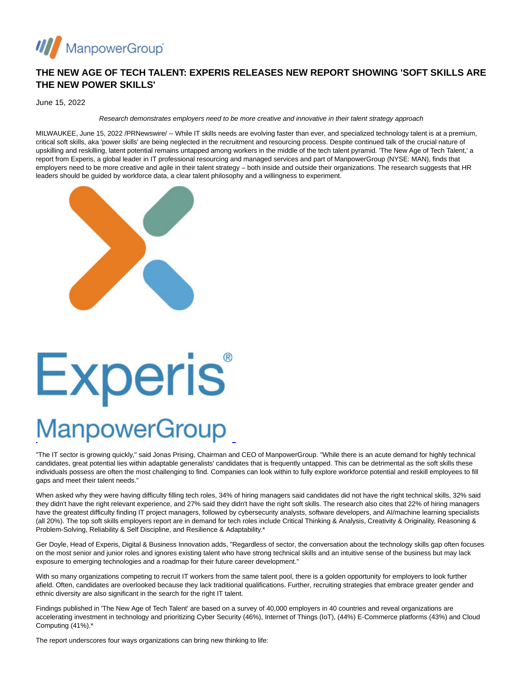

#### **THE NEW AGE OF TECH TALENT: EXPERIS RELEASES NEW REPORT SHOWING 'SOFT SKILLS ARE THE NEW POWER SKILLS'**

June 15, 2022

Research demonstrates employers need to be more creative and innovative in their talent strategy approach

MILWAUKEE, June 15, 2022 /PRNewswire/ -- While IT skills needs are evolving faster than ever, and specialized technology talent is at a premium, critical soft skills, aka 'power skills' are being neglected in the recruitment and resourcing process. Despite continued talk of the crucial nature of upskilling and reskilling, latent potential remains untapped among workers in the middle of the tech talent pyramid. 'The New Age of Tech Talent,' a report from Experis, a global leader in IT professional resourcing and managed services and part of ManpowerGroup (NYSE: MAN), finds that employers need to be more creative and agile in their talent strategy – both inside and outside their organizations. The research suggests that HR leaders should be guided by workforce data, a clear talent philosophy and a willingness to experiment.



# Experis

### **ManpowerGroup**

"The IT sector is growing quickly," said Jonas Prising, Chairman and CEO of ManpowerGroup. "While there is an acute demand for highly technical candidates, great potential lies within adaptable generalists' candidates that is frequently untapped. This can be detrimental as the soft skills these individuals possess are often the most challenging to find. Companies can look within to fully explore workforce potential and reskill employees to fill gaps and meet their talent needs."

L

When asked why they were having difficulty filling tech roles, 34% of hiring managers said candidates did not have the right technical skills, 32% said they didn't have the right relevant experience, and 27% said they didn't have the right soft skills. The research also cites that 22% of hiring managers have the greatest difficulty finding IT project managers, followed by cybersecurity analysts, software developers, and AI/machine learning specialists (all 20%). The top soft skills employers report are in demand for tech roles include Critical Thinking & Analysis, Creativity & Originality, Reasoning & Problem-Solving, Reliability & Self Discipline, and Resilience & Adaptability.\*

Ger Doyle, Head of Experis, Digital & Business Innovation adds, "Regardless of sector, the conversation about the technology skills gap often focuses on the most senior and junior roles and ignores existing talent who have strong technical skills and an intuitive sense of the business but may lack exposure to emerging technologies and a roadmap for their future career development."

With so many organizations competing to recruit IT workers from the same talent pool, there is a golden opportunity for employers to look further afield. Often, candidates are overlooked because they lack traditional qualifications. Further, recruiting strategies that embrace greater gender and ethnic diversity are also significant in the search for the right IT talent.

Findings published in 'The New Age of Tech Talent' are based on a survey of 40,000 employers in 40 countries and reveal organizations are accelerating investment in technology and prioritizing Cyber Security (46%), Internet of Things (IoT), (44%) E-Commerce platforms (43%) and Cloud Computing (41%).\*

The report underscores four ways organizations can bring new thinking to life: